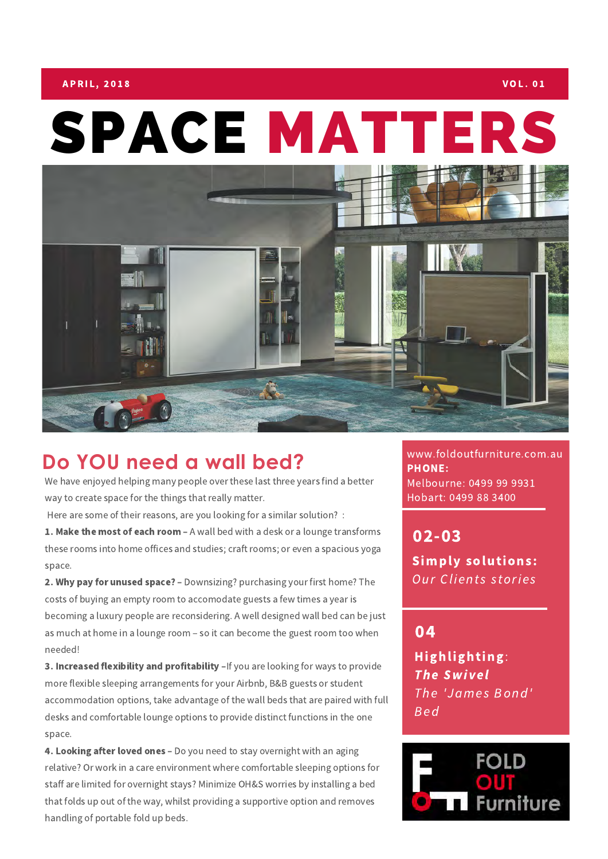## $\,$  A P RIL, 2018  $\,$  VOL. 01  $\,$

## SPACE MATTERS



## **Do YOU need a wall bed?**

We have enjoyed helping many people over these last three years find a better way to create space for the things that really matter.

Here are some of their reasons, are you looking for a similar solution? :

1. Make the most of each room - A wall bed with a desk or a lounge transforms these rooms into home offices and studies; craft rooms; or even a spacious yoga space.

2. Why pay for unused space? - Downsizing? purchasing your first home? The costs of buying an empty room to accomodate guests a few times a year is becoming a luxury people are reconsidering. A well designed wall bed can be just as much at home in a lounge room – so it can become the guest room too when needed!

3. Increased flexibility and profitability -If you are looking for ways to provide more flexible sleeping arrangements for your Airbnb, B&B guests or student accommodation options, take advantage of the wall beds that are paired with full desks and comfortable lounge options to provide distinct functions in the one space.

4. Looking after loved ones - Do you need to stay overnight with an aging relative? Or work in a care environment where comfortable sleeping options for staff are limited for overnight stays? Minimize OH&S worries by installing a bed that folds up out of the way, whilst providing a supportive option and removes handling of portable fold up beds.

www.foldoutfurniture.com.au PHONE: Melbourne: 0499 99 9931 Hobart: 0499 88 3400

02-03 Simply solutions: Our Clients stories

04

Highlighting: **The Swivel** The 'James Bond' B e d

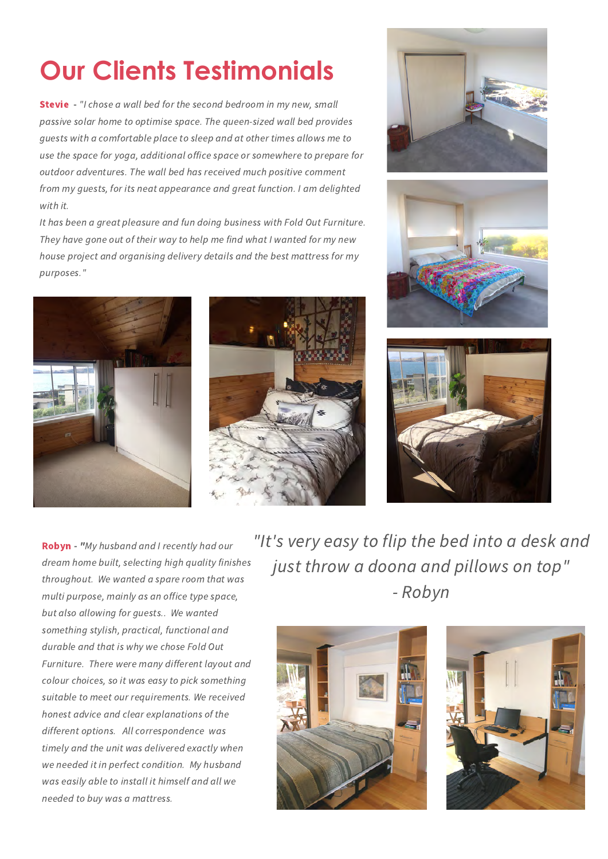## **Our Clients Testimonials**

**Stevie** - "I chose a wall bed for the second bedroom in my new, small passive solar home to optimise space. The queen-sized wall bed provides guests with a comfortable place to sleep and at other times allows me to use the space for yoga, additional office space or somewhere to prepare for outdoor adventures. The wall bed has received much positive comment from my guests, for its neat appearance and great function. I am delighted with it.

It has been a great pleasure and fun doing business with Fold Out Furniture. They have gone out of their way to help me find what I wanted for my new house project and organising delivery details and the best mattress for my purposes."











Robyn - "My husband and I recently had our dream home built, selecting high quality finishes throughout. We wanted a spare room that was multi purpose, mainly as an office type space, but also allowing for guests.. We wanted something stylish, practical, functional and durable and that is why we chose Fold Out Furniture. There were many different layout and colour choices, so it was easy to pick something suitable to meet our requirements. We received honest advice and clear explanations of the different options. All correspondence was timely and the unit was delivered exactly when we needed it in perfect condition. My husband was easily able to install it himself and all we needed to buy was a mattress.

"It's very easy to flip the bed into a desk and just throw a doona and pillows on top" - Robyn



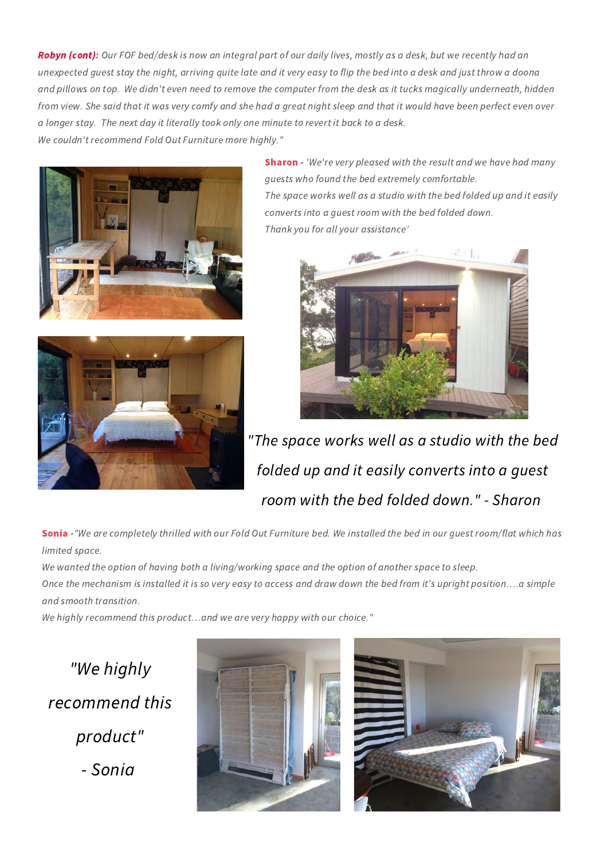Robyn (cont): Our FOF bed/desk is now an integral part of our daily lives, mostly as a desk, but we recently had an unexpected guest stay the night, arriving quite late and it very easy to flip the bed into a desk and just throw a doona and pillows on top. We didn't even need to remove the computer from the desk as it tucks magically underneath, hidden from view. She said that it was very comfy and she had a great night sleep and that it would have been perfect even over a longer stay. The next day it literally took only one minute to revert it back to a desk. We couldn't recommend Fold Out Furniture more highly."





**Sharon** - 'We're very pleased with the result and we have had many guests who found the bed extremely comfortable. The space works well as a studio with the bed folded up and it easily converts into a guest room with the bed folded down. Thank you for all your assistance'



"The space works well as a studio with the bed folded up and it easily converts into a guest room with the bed folded down." - Sharon

Sonia -"We are completely thrilled with our Fold Out Furniture bed. We installed the bed in our quest room/flat which has limited space.

We wanted the option of having both a living/working space and the option of another space to sleep. Once the mechanism is installed it is so very easy to access and draw down the bed from it's upright position….a simple and smooth transition.

We highly recommend this product…and we are very happy with our choice."

"We highly recommend this product" - Sonia